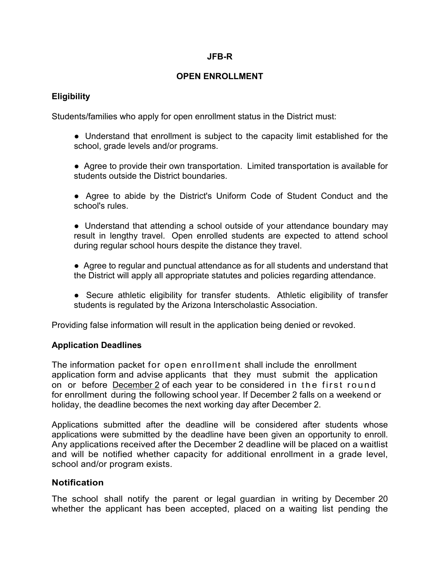#### **JFB-R**

### **OPEN ENROLLMENT**

# **Eligibility**

Students/families who apply for open enrollment status in the District must:

- Understand that enrollment is subject to the capacity limit established for the school, grade levels and/or programs.
- Agree to provide their own transportation. Limited transportation is available for students outside the District boundaries.
- Agree to abide by the District's Uniform Code of Student Conduct and the school's rules.

• Understand that attending a school outside of your attendance boundary may result in lengthy travel. Open enrolled students are expected to attend school during regular school hours despite the distance they travel.

- Agree to regular and punctual attendance as for all students and understand that the District will apply all appropriate statutes and policies regarding attendance.
- Secure athletic eligibility for transfer students. Athletic eligibility of transfer students is regulated by the Arizona Interscholastic Association.

Providing false information will result in the application being denied or revoked.

### **Application Deadlines**

The information packet for open enrollment shall include the enrollment application form and advise applicants that they must submit the application on or before December 2 of each year to be considered in the first round for enrollment during the following school year. If December 2 falls on a weekend or holiday, the deadline becomes the next working day after December 2.

Applications submitted after the deadline will be considered after students whose applications were submitted by the deadline have been given an opportunity to enroll. Any applications received after the December 2 deadline will be placed on a waitlist and will be notified whether capacity for additional enrollment in a grade level, school and/or program exists.

### **Notification**

The school shall notify the parent or legal guardian in writing by December 20 whether the applicant has been accepted, placed on a waiting list pending the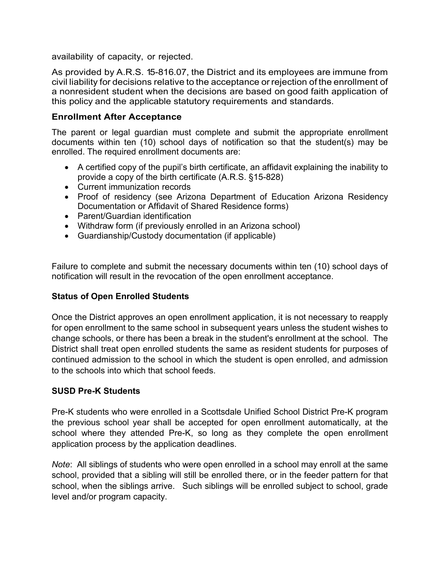availability of capacity, or rejected.

As provided by A.R.S. 15-816.07, the District and its employees are immune from civil liability for decisions relative to the acceptance orrejection of the enrollment of a nonresident student when the decisions are based on good faith application of this policy and the applicable statutory requirements and standards.

### **Enrollment After Acceptance**

The parent or legal guardian must complete and submit the appropriate enrollment documents within ten (10) school days of notification so that the student(s) may be enrolled. The required enrollment documents are:

- A certified copy of the pupil's birth certificate, an affidavit explaining the inability to provide a copy of the birth certificate (A.R.S. §15-828)
- Current immunization records
- Proof of residency (see Arizona Department of Education Arizona Residency Documentation or Affidavit of Shared Residence forms)
- Parent/Guardian identification
- Withdraw form (if previously enrolled in an Arizona school)
- Guardianship/Custody documentation (if applicable)

Failure to complete and submit the necessary documents within ten (10) school days of notification will result in the revocation of the open enrollment acceptance.

### **Status of Open Enrolled Students**

Once the District approves an open enrollment application, it is not necessary to reapply for open enrollment to the same school in subsequent years unless the student wishes to change schools, or there has been a break in the student's enrollment at the school. The District shall treat open enrolled students the same as resident students for purposes of continued admission to the school in which the student is open enrolled, and admission to the schools into which that school feeds.

### **SUSD Pre-K Students**

Pre-K students who were enrolled in a Scottsdale Unified School District Pre-K program the previous school year shall be accepted for open enrollment automatically, at the school where they attended Pre-K, so long as they complete the open enrollment application process by the application deadlines.

*Note*: All siblings of students who were open enrolled in a school may enroll at the same school, provided that a sibling will still be enrolled there, or in the feeder pattern for that school, when the siblings arrive. Such siblings will be enrolled subject to school, grade level and/or program capacity.